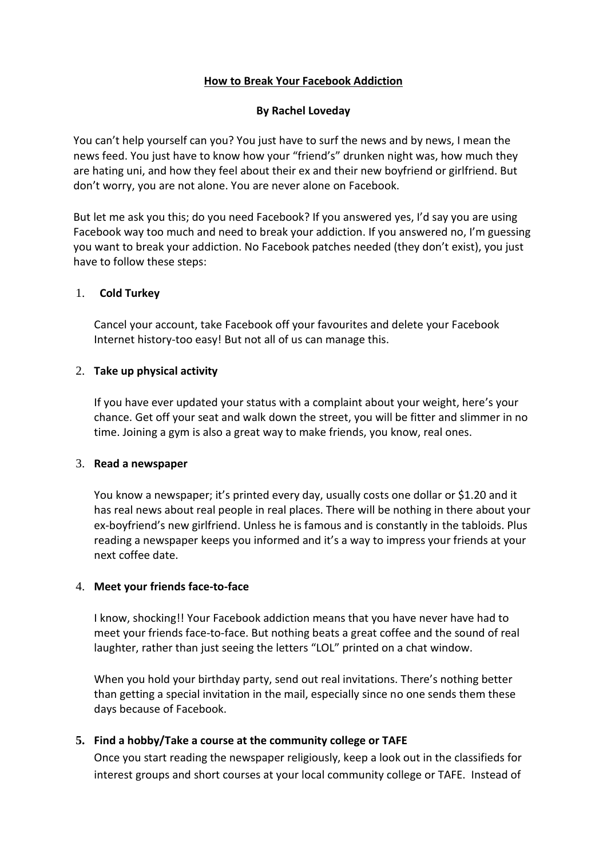# **How to Break Your Facebook Addiction**

# **By Rachel Loveday**

You can't help yourself can you? You just have to surf the news and by news, I mean the news feed. You just have to know how your "friend's" drunken night was, how much they are hating uni, and how they feel about their ex and their new boyfriend or girlfriend. But don't worry, you are not alone. You are never alone on Facebook.

But let me ask you this; do you need Facebook? If you answered yes, I'd say you are using Facebook way too much and need to break your addiction. If you answered no, I'm guessing you want to break your addiction. No Facebook patches needed (they don't exist), you just have to follow these steps:

### 1. **Cold Turkey**

Cancel your account, take Facebook off your favourites and delete your Facebook Internet history-too easy! But not all of us can manage this.

### 2. **Take up physical activity**

If you have ever updated your status with a complaint about your weight, here's your chance. Get off your seat and walk down the street, you will be fitter and slimmer in no time. Joining a gym is also a great way to make friends, you know, real ones.

#### 3. **Read a newspaper**

You know a newspaper; it's printed every day, usually costs one dollar or \$1.20 and it has real news about real people in real places. There will be nothing in there about your ex-boyfriend's new girlfriend. Unless he is famous and is constantly in the tabloids. Plus reading a newspaper keeps you informed and it's a way to impress your friends at your next coffee date.

#### 4. **Meet your friends face-to-face**

I know, shocking!! Your Facebook addiction means that you have never have had to meet your friends face-to-face. But nothing beats a great coffee and the sound of real laughter, rather than just seeing the letters "LOL" printed on a chat window.

When you hold your birthday party, send out real invitations. There's nothing better than getting a special invitation in the mail, especially since no one sends them these days because of Facebook.

# **5. Find a hobby/Take a course at the community college or TAFE**

Once you start reading the newspaper religiously, keep a look out in the classifieds for interest groups and short courses at your local community college or TAFE. Instead of